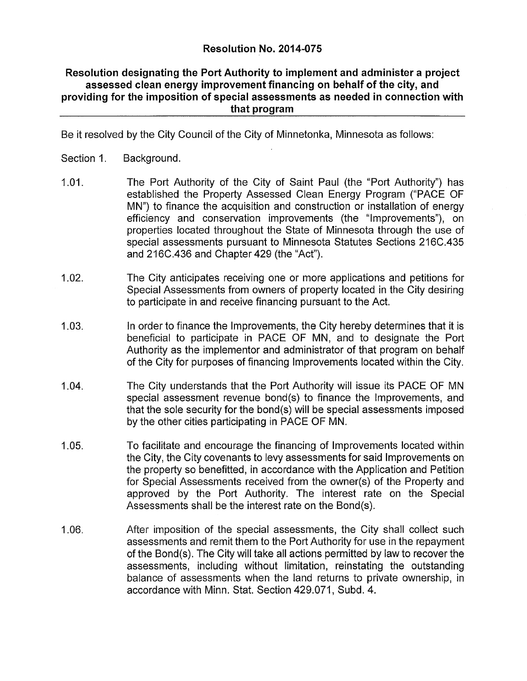## **Resolution No. 2014-075**

## **Resolution designating the Port Authority to implement and administer a project assessed clean energy improvement financing on behalf of the city, and providing for the imposition of special assessments as needed in connection with that program**

Be it resolved by the City Council of the City of Minnetonka, Minnesota as follows:

- Section 1. Background.
- 1.01. The Port Authority of the City of Saint Paul (the "Port Authority") has established the Property Assessed Clean Energy Program ("PACE OF MN") to finance the acquisition and construction or installation of energy efficiency and conservation improvements (the "Improvements"), on properties located throughout the State of Minnesota through the use of special assessments pursuant to Minnesota Statutes Sections 216C.435 and 216C.436 and Chapter 429 (the "Act").
- 1.02. The City anticipates receiving one or more applications and petitions for Special Assessments from owners of property located in the City desiring to participate in and receive financing pursuant to the Act.
- 1.03. In order to finance the Improvements, the City hereby determines that it is beneficial to participate in PACE OF MN, and to designate the Port Authority as the implementor and administrator of that program on behalf of the City for purposes of financing Improvements located within the City.
- 1.04. The City understands that the Port Authority will issue its PACE OF MN special assessment revenue bond(s) to finance the Improvements, and that the sole security for the bond(s) will be special assessments imposed by the other cities participating in PACE OF MN.
- 1.05. To facilitate and encourage the financing of Improvements located within the City, the City covenants to levy assessments for said Improvements on the property so benefitted. In accordance with the Application and Petition for Special Assessments received from the owner(s) of the Property and approved by the Port Authority. The Interest rate on the Special Assessments shall be the interest rate on the Bond(s).
- 1.06. After Imposition of the special assessments, the City shall collect such assessments and remit them to the Port Authority for use in the repayment of the Bond(s). The City will take all actions permitted by law to recover the assessments, including without limitation, reinstating the outstanding balance of assessments when the land returns to private ownership, in accordance with Minn. Stat. Section 429.071, Subd. 4.